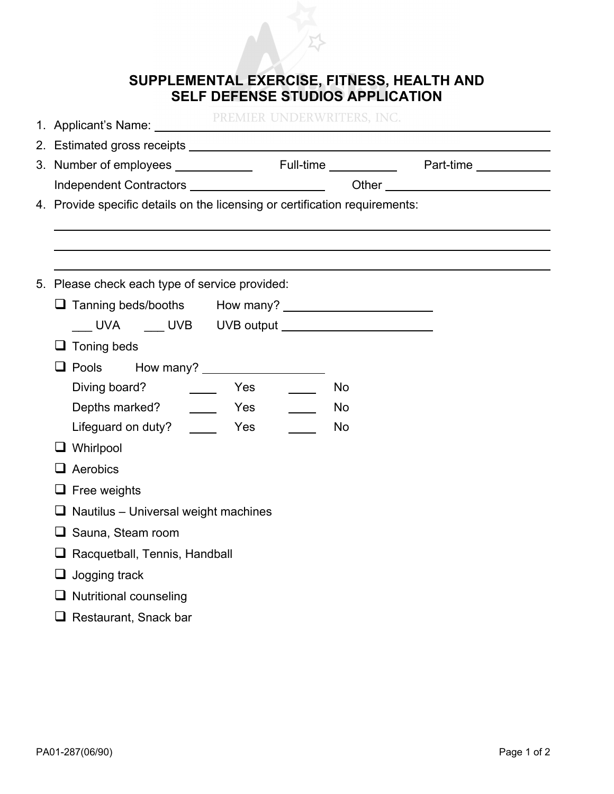

| 1. Applicant's Name: PREMIER UNDERWRITERS, INC.                             |  |
|-----------------------------------------------------------------------------|--|
|                                                                             |  |
|                                                                             |  |
| Independent Contractors ________________________                            |  |
| 4. Provide specific details on the licensing or certification requirements: |  |
|                                                                             |  |
|                                                                             |  |
| 5. Please check each type of service provided:                              |  |
|                                                                             |  |
| LACK LAND UVB UVB output LACK LAND UVB output                               |  |
| $\Box$ Toning beds                                                          |  |
| □ Pools How many?<br>□ Pools How many?                                      |  |
| Diving board?<br>Yes<br><b>No</b>                                           |  |
| <b>No</b>                                                                   |  |
| Lifeguard on duty? ________ Yes<br><b>No</b>                                |  |
| $\Box$ Whirlpool                                                            |  |
| $\Box$ Aerobics                                                             |  |
| $\Box$ Free weights                                                         |  |
| $\Box$ Nautilus - Universal weight machines                                 |  |
| $\Box$ Sauna, Steam room                                                    |  |
| $\Box$ Racquetball, Tennis, Handball                                        |  |
| $\Box$ Jogging track                                                        |  |
| $\Box$ Nutritional counseling                                               |  |
|                                                                             |  |

□ Restaurant, Snack bar